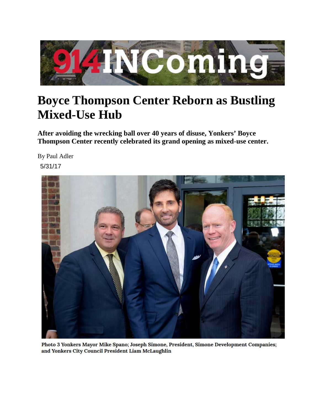

## **Boyce Thompson Center Reborn as Bustling Mixed-Use Hub**

**After avoiding the wrecking ball over 40 years of disuse, Yonkers' Boyce Thompson Center recently celebrated its grand opening as mixed-use center.**

By Paul Adler 5/31/17



Photo 3 Yonkers Mayor Mike Spano; Joseph Simone, President, Simone Development Companies; and Yonkers City Council President Liam McLaughlin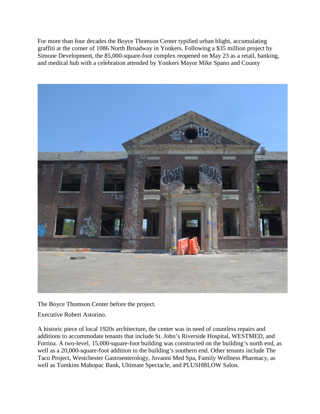For more than four decades the Boyce Thomson Center typified urban blight, accumulating graffiti at the corner of 1086 North Broadway in Yonkers. Following a \$35 million project by Simone Development, the 85,000-square-foot complex reopened on May 23 as a retail, banking, and medical hub with a celebration attended by Yonkers Mayor Mike Spano and County



The Boyce Thomson Center before the project.

Executive Robert Astorino.

A historic piece of local 1920s architecture, the center was in need of countless repairs and additions to accommodate tenants that include St. John's Riverside Hospital, WESTMED, and Fortina. A two-level, 15,000-square-foot building was constructed on the building's north end, as well as a 20,000-square-foot addition to the building's southern end. Other tenants include The Taco Project, Westchester Gastroenterology, Juvanni Med Spa, Family Wellness Pharmacy, as well as Tomkins Mahopac Bank, Ultimate Spectacle, and PLUSHBLOW Salon.